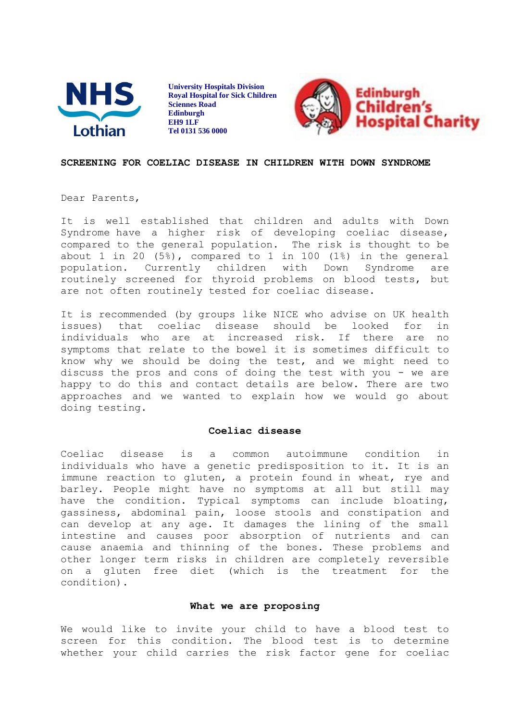

**University Hospitals Division Royal Hospital for Sick Children Sciennes Road Edinburgh EH9 1LF Tel 0131 536 0000**



## **SCREENING FOR COELIAC DISEASE IN CHILDREN WITH DOWN SYNDROME**

Dear Parents,

It is well established that children and adults with Down Syndrome have a higher risk of developing coeliac disease, compared to the general population. The risk is thought to be about 1 in 20 (5%), compared to 1 in 100 (1%) in the general population. Currently children with Down Syndrome are routinely screened for thyroid problems on blood tests, but are not often routinely tested for coeliac disease.

It is recommended (by groups like NICE who advise on UK health issues) that coeliac disease should be looked for in individuals who are at increased risk. If there are no symptoms that relate to the bowel it is sometimes difficult to know why we should be doing the test, and we might need to discuss the pros and cons of doing the test with you - we are happy to do this and contact details are below. There are two approaches and we wanted to explain how we would go about doing testing.

## **Coeliac disease**

Coeliac disease is a common autoimmune condition in individuals who have a genetic predisposition to it. It is an immune reaction to gluten, a protein found in wheat, rye and barley. People might have no symptoms at all but still may have the condition. Typical symptoms can include bloating, gassiness, abdominal pain, loose stools and constipation and can develop at any age. It damages the lining of the small intestine and causes poor absorption of nutrients and can cause anaemia and thinning of the bones. These problems and other longer term risks in children are completely reversible on a gluten free diet (which is the treatment for the condition).

## **What we are proposing**

We would like to invite your child to have a blood test to screen for this condition. The blood test is to determine whether your child carries the risk factor gene for coeliac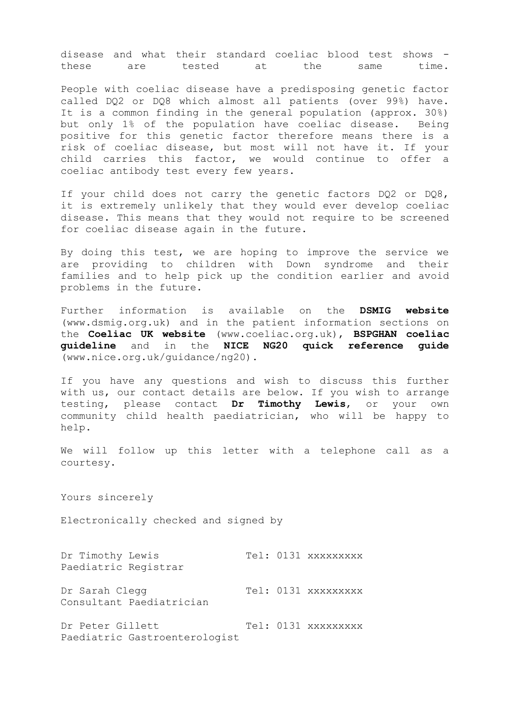disease and what their standard coeliac blood test shows these are tested at the same time.

People with coeliac disease have a predisposing genetic factor called DQ2 or DQ8 which almost all patients (over 99%) have. It is a common finding in the general population (approx. 30%) but only 1% of the population have coeliac disease. Being positive for this genetic factor therefore means there is a risk of coeliac disease, but most will not have it. If your child carries this factor, we would continue to offer a coeliac antibody test every few years.

If your child does not carry the genetic factors DQ2 or DQ8, it is extremely unlikely that they would ever develop coeliac disease. This means that they would not require to be screened for coeliac disease again in the future.

By doing this test, we are hoping to improve the service we are providing to children with Down syndrome and their families and to help pick up the condition earlier and avoid problems in the future.

Further information is available on the **DSMIG website** (www.dsmig.org.uk) and in the patient information sections on the **Coeliac UK website** (www.coeliac.org.uk), **BSPGHAN coeliac guideline** and in the **NICE NG20 quick reference guide** (www.nice.org.uk/guidance/ng20).

If you have any questions and wish to discuss this further with us, our contact details are below. If you wish to arrange testing, please contact **Dr Timothy Lewis**, or your own community child health paediatrician, who will be happy to help.

We will follow up this letter with a telephone call as a courtesy.

Yours sincerely

Electronically checked and signed by

Dr Timothy Lewis Tel: 0131 xxxxxxxxx Paediatric Registrar Dr Sarah Clegg Tel: 0131 xxxxxxxxx Consultant Paediatrician

Dr Peter Gillett Tel: 0131 xxxxxxxxx Paediatric Gastroenterologist